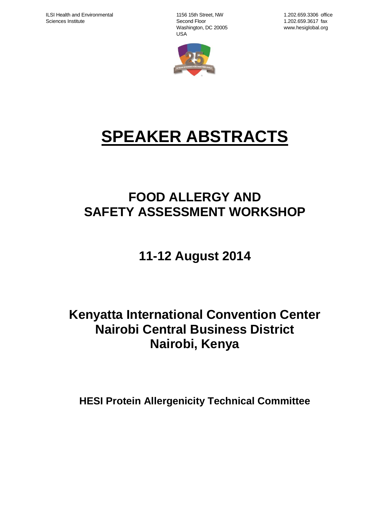1156 15th Street, NW Second Floor Washington, DC 20005 USA

1.202.659.3306 office 1.202.659.3617 fax www.hesiglobal.org



# **SPEAKER ABSTRACTS**

## **FOOD ALLERGY AND SAFETY ASSESSMENT WORKSHOP**

## **11-12 August 2014**

## **Kenyatta International Convention Center Nairobi Central Business District Nairobi, Kenya**

**HESI Protein Allergenicity Technical Committee**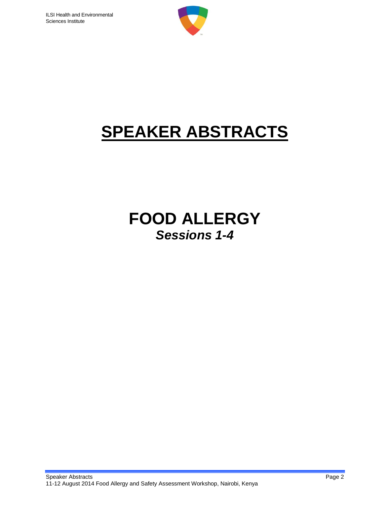

# **SPEAKER ABSTRACTS**

## **FOOD ALLERGY** *Sessions 1-4*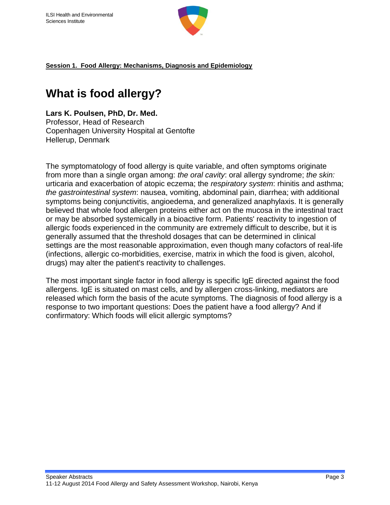

### **What is food allergy?**

**Lars K. Poulsen, PhD, Dr. Med.** Professor, Head of Research Copenhagen University Hospital at Gentofte Hellerup, Denmark

The symptomatology of food allergy is quite variable, and often symptoms originate from more than a single organ among: *the oral cavity*: oral allergy syndrome; *the skin:* urticaria and exacerbation of atopic eczema; the *respiratory system*: rhinitis and asthma; *the gastrointestinal system*: nausea, vomiting, abdominal pain, diarrhea; with additional symptoms being conjunctivitis, angioedema, and generalized anaphylaxis. It is generally believed that whole food allergen proteins either act on the mucosa in the intestinal tract or may be absorbed systemically in a bioactive form. Patients' reactivity to ingestion of allergic foods experienced in the community are extremely difficult to describe, but it is generally assumed that the threshold dosages that can be determined in clinical settings are the most reasonable approximation, even though many cofactors of real-life (infections, allergic co-morbidities, exercise, matrix in which the food is given, alcohol, drugs) may alter the patient's reactivity to challenges.

The most important single factor in food allergy is specific IgE directed against the food allergens. IgE is situated on mast cells, and by allergen cross-linking, mediators are released which form the basis of the acute symptoms. The diagnosis of food allergy is a response to two important questions: Does the patient have a food allergy? And if confirmatory: Which foods will elicit allergic symptoms?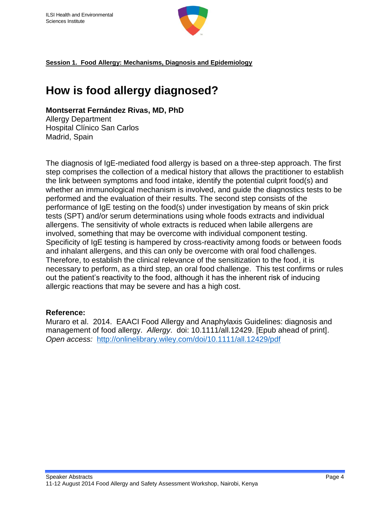

### **How is food allergy diagnosed?**

#### **Montserrat Fernández Rivas, MD, PhD**

Allergy Department Hospital Clínico San Carlos Madrid, Spain

The diagnosis of IgE-mediated food allergy is based on a three-step approach. The first step comprises the collection of a medical history that allows the practitioner to establish the link between symptoms and food intake, identify the potential culprit food(s) and whether an immunological mechanism is involved, and guide the diagnostics tests to be performed and the evaluation of their results. The second step consists of the performance of IgE testing on the food(s) under investigation by means of skin prick tests (SPT) and/or serum determinations using whole foods extracts and individual allergens. The sensitivity of whole extracts is reduced when labile allergens are involved, something that may be overcome with individual component testing. Specificity of IgE testing is hampered by cross-reactivity among foods or between foods and inhalant allergens, and this can only be overcome with oral food challenges. Therefore, to establish the clinical relevance of the sensitization to the food, it is necessary to perform, as a third step, an oral food challenge. This test confirms or rules out the patient's reactivity to the food, although it has the inherent risk of inducing allergic reactions that may be severe and has a high cost.

#### **Reference:**

Muraro et al. 2014. EAACI Food Allergy and Anaphylaxis Guidelines: diagnosis and management of food allergy. *Allergy*. doi: 10.1111/all.12429. [Epub ahead of print]. *Open access:* <http://onlinelibrary.wiley.com/doi/10.1111/all.12429/pdf>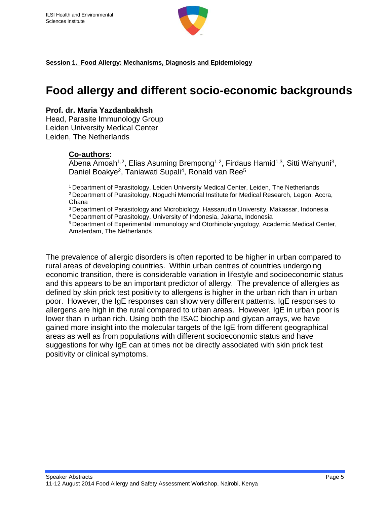

### **Food allergy and different socio-economic backgrounds**

#### **Prof. dr. Maria Yazdanbakhsh**

Head, Parasite Immunology Group Leiden University Medical Center Leiden, The Netherlands

#### **Co-authors:**

Abena Amoah<sup>1,2</sup>, Elias Asuming Brempong<sup>1,2</sup>, Firdaus Hamid<sup>1,3</sup>, Sitti Wahyuni<sup>3</sup>, Daniel Boakye<sup>2</sup>, Taniawati Supali<sup>4</sup>, Ronald van Ree<sup>5</sup>

<sup>1</sup>Department of Parasitology, Leiden University Medical Center, Leiden, The Netherlands <sup>2</sup>Department of Parasitology, Noguchi Memorial Institute for Medical Research, Legon, Accra, Ghana

<sup>3</sup>Department of Parasitology and Microbiology, Hassanudin University, Makassar, Indonesia <sup>4</sup>Department of Parasitology, University of Indonesia, Jakarta, Indonesia

<sup>5</sup> Department of Experimental Immunology and Otorhinolaryngology, Academic Medical Center, Amsterdam, The Netherlands

The prevalence of allergic disorders is often reported to be higher in urban compared to rural areas of developing countries. Within urban centres of countries undergoing economic transition, there is considerable variation in lifestyle and socioeconomic status and this appears to be an important predictor of allergy. The prevalence of allergies as defined by skin prick test positivity to allergens is higher in the urban rich than in urban poor. However, the IgE responses can show very different patterns. IgE responses to allergens are high in the rural compared to urban areas. However, IgE in urban poor is lower than in urban rich. Using both the ISAC biochip and glycan arrays, we have gained more insight into the molecular targets of the IgE from different geographical areas as well as from populations with different socioeconomic status and have suggestions for why IgE can at times not be directly associated with skin prick test positivity or clinical symptoms.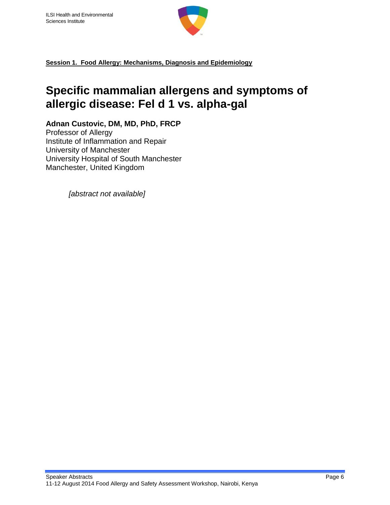

### **Specific mammalian allergens and symptoms of allergic disease: Fel d 1 vs. alpha-gal**

**Adnan Custovic, DM, MD, PhD, FRCP**

Professor of Allergy Institute of Inflammation and Repair University of Manchester University Hospital of South Manchester Manchester, United Kingdom

*[abstract not available]*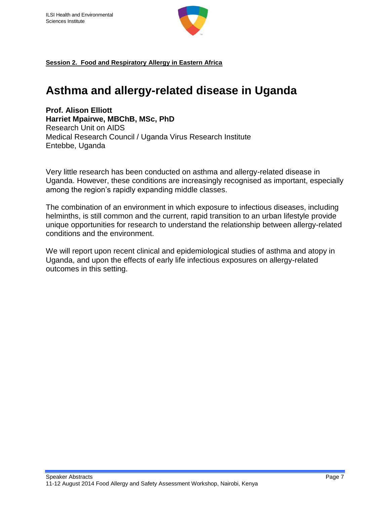

**Session 2. Food and Respiratory Allergy in Eastern Africa**

### **Asthma and allergy-related disease in Uganda**

**Prof. Alison Elliott Harriet Mpairwe, MBChB, MSc, PhD** Research Unit on AIDS Medical Research Council / Uganda Virus Research Institute Entebbe, Uganda

Very little research has been conducted on asthma and allergy-related disease in Uganda. However, these conditions are increasingly recognised as important, especially among the region's rapidly expanding middle classes.

The combination of an environment in which exposure to infectious diseases, including helminths, is still common and the current, rapid transition to an urban lifestyle provide unique opportunities for research to understand the relationship between allergy-related conditions and the environment.

We will report upon recent clinical and epidemiological studies of asthma and atopy in Uganda, and upon the effects of early life infectious exposures on allergy-related outcomes in this setting.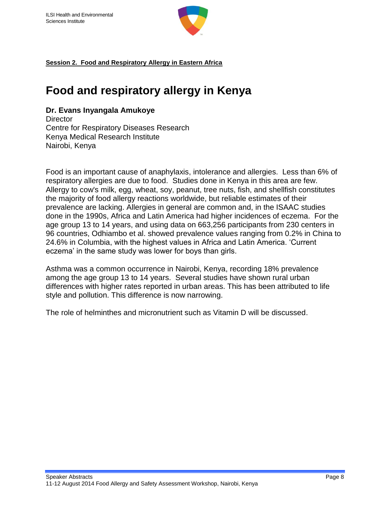

**Session 2. Food and Respiratory Allergy in Eastern Africa**

### **Food and respiratory allergy in Kenya**

#### **Dr. Evans Inyangala Amukoye**

**Director** Centre for Respiratory Diseases Research Kenya Medical Research Institute Nairobi, Kenya

Food is an important cause of anaphylaxis, intolerance and allergies. Less than 6% of respiratory allergies are due to food. Studies done in Kenya in this area are few. Allergy to cow's milk, egg, wheat, soy, peanut, tree nuts, fish, and shellfish constitutes the majority of food allergy reactions worldwide, but reliable estimates of their prevalence are lacking. Allergies in general are common and, in the ISAAC studies done in the 1990s, Africa and Latin America had higher incidences of eczema. For the age group 13 to 14 years, and using data on 663,256 participants from 230 centers in 96 countries, Odhiambo et al. showed prevalence values ranging from 0.2% in China to 24.6% in Columbia, with the highest values in Africa and Latin America. 'Current eczema' in the same study was lower for boys than girls.

Asthma was a common occurrence in Nairobi, Kenya, recording 18% prevalence among the age group 13 to 14 years. Several studies have shown rural urban differences with higher rates reported in urban areas. This has been attributed to life style and pollution. This difference is now narrowing.

The role of helminthes and micronutrient such as Vitamin D will be discussed.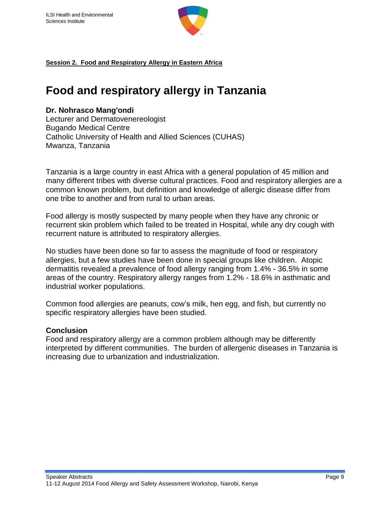

**Session 2. Food and Respiratory Allergy in Eastern Africa**

### **Food and respiratory allergy in Tanzania**

#### **Dr. Nohrasco Mang'ondi**

Lecturer and Dermatovenereologist Bugando Medical Centre Catholic University of Health and Allied Sciences (CUHAS) Mwanza, Tanzania

Tanzania is a large country in east Africa with a general population of 45 million and many different tribes with diverse cultural practices. Food and respiratory allergies are a common known problem, but definition and knowledge of allergic disease differ from one tribe to another and from rural to urban areas.

Food allergy is mostly suspected by many people when they have any chronic or recurrent skin problem which failed to be treated in Hospital, while any dry cough with recurrent nature is attributed to respiratory allergies.

No studies have been done so far to assess the magnitude of food or respiratory allergies, but a few studies have been done in special groups like children. Atopic dermatitis revealed a prevalence of food allergy ranging from 1.4% - 36.5% in some areas of the country. Respiratory allergy ranges from 1.2% - 18.6% in asthmatic and industrial worker populations.

Common food allergies are peanuts, cow's milk, hen egg, and fish, but currently no specific respiratory allergies have been studied.

#### **Conclusion**

Food and respiratory allergy are a common problem although may be differently interpreted by different communities. The burden of allergenic diseases in Tanzania is increasing due to urbanization and industrialization.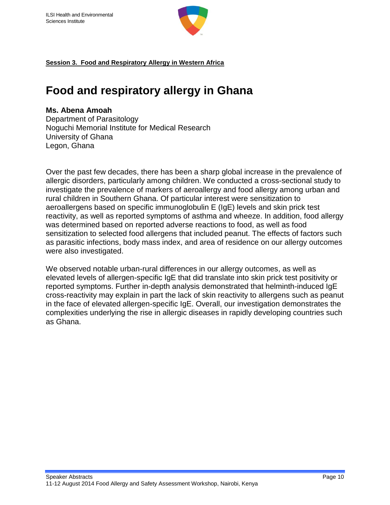

**Session 3. Food and Respiratory Allergy in Western Africa**

### **Food and respiratory allergy in Ghana**

#### **Ms. Abena Amoah**

Department of Parasitology Noguchi Memorial Institute for Medical Research University of Ghana Legon, Ghana

Over the past few decades, there has been a sharp global increase in the prevalence of allergic disorders, particularly among children. We conducted a cross-sectional study to investigate the prevalence of markers of aeroallergy and food allergy among urban and rural children in Southern Ghana. Of particular interest were sensitization to aeroallergens based on specific immunoglobulin E (IgE) levels and skin prick test reactivity, as well as reported symptoms of asthma and wheeze. In addition, food allergy was determined based on reported adverse reactions to food, as well as food sensitization to selected food allergens that included peanut. The effects of factors such as parasitic infections, body mass index, and area of residence on our allergy outcomes were also investigated.

We observed notable urban-rural differences in our allergy outcomes, as well as elevated levels of allergen-specific IgE that did translate into skin prick test positivity or reported symptoms. Further in-depth analysis demonstrated that helminth-induced IgE cross-reactivity may explain in part the lack of skin reactivity to allergens such as peanut in the face of elevated allergen-specific IgE. Overall, our investigation demonstrates the complexities underlying the rise in allergic diseases in rapidly developing countries such as Ghana.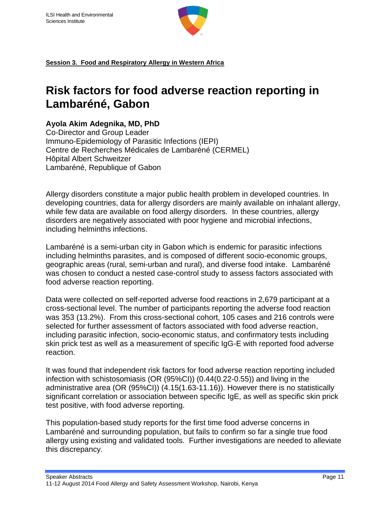

**Session 3. Food and Respiratory Allergy in Western Africa**

### **Risk factors for food adverse reaction reporting in Lambaréné, Gabon**

#### **Ayola Akim Adegnika, MD, PhD**

Co-Director and Group Leader Immuno-Epidemiology of Parasitic Infections (IEPI) Centre de Recherches Médicales de Lambaréné (CERMEL) Hôpital Albert Schweitzer Lambaréné, Republique of Gabon

Allergy disorders constitute a major public health problem in developed countries. In developing countries, data for allergy disorders are mainly available on inhalant allergy, while few data are available on food allergy disorders. In these countries, allergy disorders are negatively associated with poor hygiene and microbial infections, including helminths infections.

Lambaréné is a semi-urban city in Gabon which is endemic for parasitic infections including helminths parasites, and is composed of different socio-economic groups, geographic areas (rural, semi-urban and rural), and diverse food intake. Lambaréné was chosen to conduct a nested case-control study to assess factors associated with food adverse reaction reporting.

Data were collected on self-reported adverse food reactions in 2,679 participant at a cross-sectional level. The number of participants reporting the adverse food reaction was 353 (13.2%). From this cross-sectional cohort, 105 cases and 216 controls were selected for further assessment of factors associated with food adverse reaction, including parasitic infection, socio-economic status, and confirmatory tests including skin prick test as well as a measurement of specific IgG-E with reported food adverse reaction.

It was found that independent risk factors for food adverse reaction reporting included infection with schistosomiasis (OR (95%CI)) (0.44(0.22-0.55)) and living in the administrative area (OR (95%CI)) (4.15(1.63-11.16)). However there is no statistically significant correlation or association between specific IgE, as well as specific skin prick test positive, with food adverse reporting.

This population-based study reports for the first time food adverse concerns in Lambaréné and surrounding population, but fails to confirm so far a single true food allergy using existing and validated tools. Further investigations are needed to alleviate this discrepancy.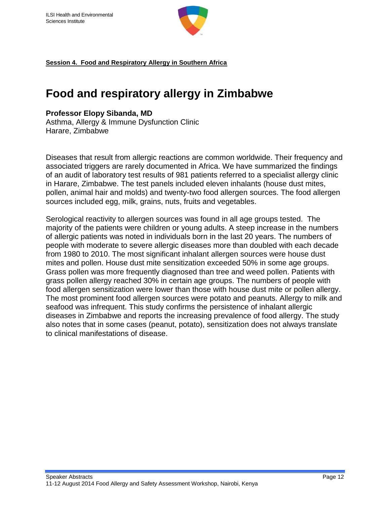

**Session 4. Food and Respiratory Allergy in Southern Africa**

### **Food and respiratory allergy in Zimbabwe**

#### **Professor Elopy Sibanda, MD**

Asthma, Allergy & Immune Dysfunction Clinic Harare, Zimbabwe

Diseases that result from allergic reactions are common worldwide. Their frequency and associated triggers are rarely documented in Africa. We have summarized the findings of an audit of laboratory test results of 981 patients referred to a specialist allergy clinic in Harare, Zimbabwe. The test panels included eleven inhalants (house dust mites, pollen, animal hair and molds) and twenty-two food allergen sources. The food allergen sources included egg, milk, grains, nuts, fruits and vegetables.

Serological reactivity to allergen sources was found in all age groups tested. The majority of the patients were children or young adults. A steep increase in the numbers of allergic patients was noted in individuals born in the last 20 years. The numbers of people with moderate to severe allergic diseases more than doubled with each decade from 1980 to 2010. The most significant inhalant allergen sources were house dust mites and pollen. House dust mite sensitization exceeded 50% in some age groups. Grass pollen was more frequently diagnosed than tree and weed pollen. Patients with grass pollen allergy reached 30% in certain age groups. The numbers of people with food allergen sensitization were lower than those with house dust mite or pollen allergy. The most prominent food allergen sources were potato and peanuts. Allergy to milk and seafood was infrequent. This study confirms the persistence of inhalant allergic diseases in Zimbabwe and reports the increasing prevalence of food allergy. The study also notes that in some cases (peanut, potato), sensitization does not always translate to clinical manifestations of disease.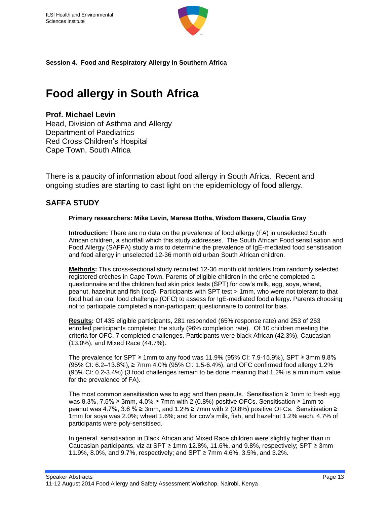

**Session 4. Food and Respiratory Allergy in Southern Africa**

### **Food allergy in South Africa**

#### **Prof. Michael Levin**

Head, Division of Asthma and Allergy Department of Paediatrics Red Cross Children's Hospital Cape Town, South Africa

There is a paucity of information about food allergy in South Africa. Recent and ongoing studies are starting to cast light on the epidemiology of food allergy.

#### **SAFFA STUDY**

#### **Primary researchers: Mike Levin, Maresa Botha, Wisdom Basera, Claudia Gray**

**Introduction:** There are no data on the prevalence of food allergy (FA) in unselected South African children, a shortfall which this study addresses. The South African Food sensitisation and Food Allergy (SAFFA) study aims to determine the prevalence of IgE-mediated food sensitisation and food allergy in unselected 12-36 month old urban South African children.

**Methods:** This cross-sectional study recruited 12-36 month old toddlers from randomly selected registered crèches in Cape Town. Parents of eligible children in the crèche completed a questionnaire and the children had skin prick tests (SPT) for cow's milk, egg, soya, wheat, peanut, hazelnut and fish (cod). Participants with SPT test > 1mm, who were not tolerant to that food had an oral food challenge (OFC) to assess for IgE-mediated food allergy. Parents choosing not to participate completed a non-participant questionnaire to control for bias.

**Results:** Of 435 eligible participants, 281 responded (65% response rate) and 253 of 263 enrolled participants completed the study (96% completion rate). Of 10 children meeting the criteria for OFC, 7 completed challenges. Participants were black African (42.3%), Caucasian (13.0%), and Mixed Race (44.7%).

The prevalence for SPT ≥ 1mm to any food was 11.9% (95% CI: 7.9-15.9%), SPT ≥ 3mm 9.8% (95% CI: 6.2–13.6%), ≥ 7mm 4.0% (95% CI: 1.5-6.4%), and OFC confirmed food allergy 1.2% (95% CI: 0.2-3.4%) (3 food challenges remain to be done meaning that 1.2% is a minimum value for the prevalence of FA).

The most common sensitisation was to egg and then peanuts. Sensitisation ≥ 1mm to fresh egg was 8.3%, 7.5% ≥ 3mm, 4.0% ≥ 7mm with 2 (0.8%) positive OFCs. Sensitisation ≥ 1mm to peanut was 4.7%, 3.6 % ≥ 3mm, and 1.2% ≥ 7mm with 2 (0.8%) positive OFCs. Sensitisation ≥ 1mm for soya was 2.0%; wheat 1.6%; and for cow's milk, fish, and hazelnut 1.2% each. 4.7% of participants were poly-sensitised.

In general, sensitisation in Black African and Mixed Race children were slightly higher than in Caucasian participants, viz at SPT ≥ 1mm 12.8%, 11.6%, and 9.8%, respectively; SPT ≥ 3mm 11.9%, 8.0%, and 9.7%, respectively; and SPT ≥ 7mm 4.6%, 3.5%, and 3.2%.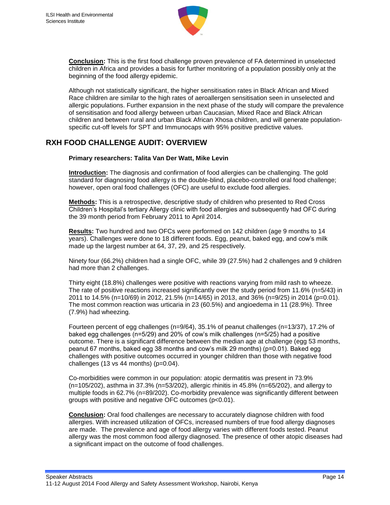

**Conclusion:** This is the first food challenge proven prevalence of FA determined in unselected children in Africa and provides a basis for further monitoring of a population possibly only at the beginning of the food allergy epidemic.

Although not statistically significant, the higher sensitisation rates in Black African and Mixed Race children are similar to the high rates of aeroallergen sensitisation seen in unselected and allergic populations. Further expansion in the next phase of the study will compare the prevalence of sensitisation and food allergy between urban Caucasian, Mixed Race and Black African children and between rural and urban Black African Xhosa children, and will generate populationspecific cut-off levels for SPT and Immunocaps with 95% positive predictive values.

#### **RXH FOOD CHALLENGE AUDIT: OVERVIEW**

#### **Primary researchers: Talita Van Der Watt, Mike Levin**

**Introduction:** The diagnosis and confirmation of food allergies can be challenging. The gold standard for diagnosing food allergy is the double-blind, placebo-controlled oral food challenge; however, open oral food challenges (OFC) are useful to exclude food allergies.

**Methods:** This is a retrospective, descriptive study of children who presented to Red Cross Children's Hospital's tertiary Allergy clinic with food allergies and subsequently had OFC during the 39 month period from February 2011 to April 2014.

**Results:** Two hundred and two OFCs were performed on 142 children (age 9 months to 14 years). Challenges were done to 18 different foods. Egg, peanut, baked egg, and cow's milk made up the largest number at 64, 37, 29, and 25 respectively.

Ninety four (66.2%) children had a single OFC, while 39 (27.5%) had 2 challenges and 9 children had more than 2 challenges.

Thirty eight (18.8%) challenges were positive with reactions varying from mild rash to wheeze. The rate of positive reactions increased significantly over the study period from 11.6% (n=5/43) in 2011 to 14.5% (n=10/69) in 2012, 21.5% (n=14/65) in 2013, and 36% (n=9/25) in 2014 (p=0.01). The most common reaction was urticaria in 23 (60.5%) and angioedema in 11 (28.9%). Three (7.9%) had wheezing.

Fourteen percent of egg challenges (n=9/64), 35.1% of peanut challenges (n=13/37), 17.2% of baked egg challenges (n=5/29) and 20% of cow's milk challenges (n=5/25) had a positive outcome. There is a significant difference between the median age at challenge (egg 53 months, peanut 67 months, baked egg 38 months and cow's milk 29 months) (p=0.01). Baked egg challenges with positive outcomes occurred in younger children than those with negative food challenges  $(13 \text{ vs } 44 \text{ months})$   $(p=0.04)$ .

Co-morbidities were common in our population: atopic dermatitis was present in 73.9% (n=105/202), asthma in 37.3% (n=53/202), allergic rhinitis in 45.8% (n=65/202), and allergy to multiple foods in 62.7% (n=89/202). Co-morbidity prevalence was significantly different between groups with positive and negative OFC outcomes (p<0.01).

**Conclusion:** Oral food challenges are necessary to accurately diagnose children with food allergies. With increased utilization of OFCs, increased numbers of true food allergy diagnoses are made. The prevalence and age of food allergy varies with different foods tested. Peanut allergy was the most common food allergy diagnosed. The presence of other atopic diseases had a significant impact on the outcome of food challenges.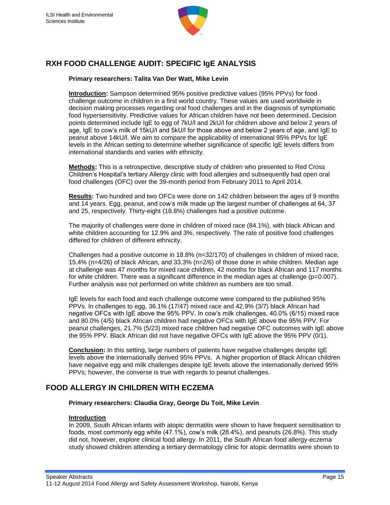

#### **RXH FOOD CHALLENGE AUDIT: SPECIFIC IgE ANALYSIS**

#### **Primary researchers: Talita Van Der Watt, Mike Levin**

**Introduction:** Sampson determined 95% positive predictive values (95% PPVs) for food challenge outcome in children in a first world country. These values are used worldwide in decision making processes regarding oral food challenges and in the diagnosis of symptomatic food hypersensitivity. Predictive values for African children have not been determined. Decision points determined include IgE to egg of 7kU/l and 2kU/l for children above and below 2 years of age, IgE to cow's milk of 15kU/l and 5kU/l for those above and below 2 years of age, and IgE to peanut above 14kU/l. We aim to compare the applicability of international 95% PPVs for IgE levels in the African setting to determine whether significance of specific IgE levels differs from international standards and varies with ethnicity.

**Methods:** This is a retrospective, descriptive study of children who presented to Red Cross Children's Hospital's tertiary Allergy clinic with food allergies and subsequently had open oral food challenges (OFC) over the 39-month period from February 2011 to April 2014.

**Results:** Two hundred and two OFCs were done on 142 children between the ages of 9 months and 14 years. Egg, peanut, and cow's milk made up the largest number of challenges at 64, 37 and 25, respectively. Thirty-eight (18.8%) challenges had a positive outcome.

The majority of challenges were done in children of mixed race (84.1%), with black African and white children accounting for 12.9% and 3%, respectively. The rate of positive food challenges differed for children of different ethnicity.

Challenges had a positive outcome in 18.8% (n=32/170) of challenges in children of mixed race, 15.4% (n=4/26) of black African, and 33.3% (n=2/6) of those done in white children. Median age at challenge was 47 months for mixed race children, 42 months for black African and 117 months for white children. There was a significant difference in the median ages at challenge (p=0.007). Further analysis was not performed on white children as numbers are too small.

IgE levels for each food and each challenge outcome were compared to the published 95% PPVs. In challenges to egg, 36.1% (17/47) mixed race and 42.9% (3/7) black African had negative OFCs with IgE above the 95% PPV. In cow's milk challenges, 40.0% (6/15) mixed race and 80.0% (4/5) black African children had negative OFCs with IgE above the 95% PPV. For peanut challenges, 21.7% (5/23) mixed race children had negative OFC outcomes with IgE above the 95% PPV. Black African did not have negative OFCs with IgE above the 95% PPV (0/1).

**Conclusion:** In this setting, large numbers of patients have negative challenges despite IgE levels above the internationally derived 95% PPVs. A higher proportion of Black African children have negative egg and milk challenges despite IgE levels above the internationally derived 95% PPVs; however, the converse is true with regards to peanut challenges.

#### **FOOD ALLERGY IN CHILDREN WITH ECZEMA**

#### **Primary researchers: Claudia Gray, George Du Toit, Mike Levin**

#### **Introduction**

In 2009, South African infants with atopic dermatitis were shown to have frequent sensitisation to foods, most commonly egg white (47.1%), cow's milk (28.4%), and peanuts (26.8%). This study did not, however, explore clinical food allergy. In 2011, the South African food allergy-eczema study showed children attending a tertiary dermatology clinic for atopic dermatitis were shown to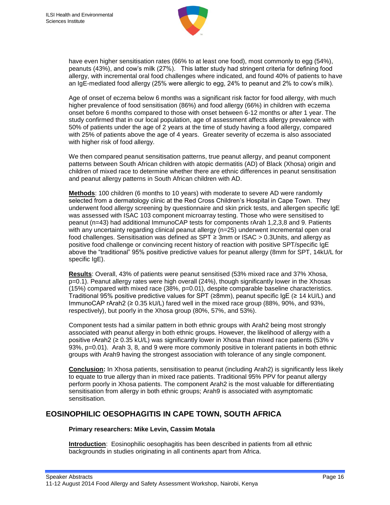

have even higher sensitisation rates (66% to at least one food), most commonly to egg (54%), peanuts (43%), and cow's milk (27%). This latter study had stringent criteria for defining food allergy, with incremental oral food challenges where indicated, and found 40% of patients to have an IgE-mediated food allergy (25% were allergic to egg, 24% to peanut and 2% to cow's milk).

Age of onset of eczema below 6 months was a significant risk factor for food allergy, with much higher prevalence of food sensitisation (86%) and food allergy (66%) in children with eczema onset before 6 months compared to those with onset between 6-12 months or after 1 year. The study confirmed that in our local population, age of assessment affects allergy prevalence with 50% of patients under the age of 2 years at the time of study having a food allergy, compared with 25% of patients above the age of 4 years. Greater severity of eczema is also associated with higher risk of food allergy.

We then compared peanut sensitisation patterns, true peanut allergy, and peanut component patterns between South African children with atopic dermatitis (AD) of Black (Xhosa) origin and children of mixed race to determine whether there are ethnic differences in peanut sensitisation and peanut allergy patterns in South African children with AD.

**Methods**: 100 children (6 months to 10 years) with moderate to severe AD were randomly selected from a dermatology clinic at the Red Cross Children's Hospital in Cape Town. They underwent food allergy screening by questionnaire and skin prick tests, and allergen specific IgE was assessed with ISAC 103 component microarray testing. Those who were sensitised to peanut (n=43) had additional ImmunoCAP tests for components rArah 1,2,3,8 and 9. Patients with any uncertainty regarding clinical peanut allergy (n=25) underwent incremental open oral food challenges. Sensitisation was defined as SPT ≥ 3mm or ISAC > 0.3Units, and allergy as positive food challenge or convincing recent history of reaction with positive SPT/specific IgE above the "traditional" 95% positive predictive values for peanut allergy (8mm for SPT, 14kU/L for specific IgE).

**Results**: Overall, 43% of patients were peanut sensitised (53% mixed race and 37% Xhosa, p=0.1). Peanut allergy rates were high overall (24%), though significantly lower in the Xhosas (15%) compared with mixed race (38%, p=0.01), despite comparable baseline characteristics. Traditional 95% positive predictive values for SPT (≥8mm), peanut specific IgE (≥ 14 kU/L) and ImmunoCAP rArah2 (≥ 0.35 kU/L) fared well in the mixed race group (88%, 90%, and 93%, respectively), but poorly in the Xhosa group (80%, 57%, and 53%).

Component tests had a similar pattern in both ethnic groups with Arah2 being most strongly associated with peanut allergy in both ethnic groups. However, the likelihood of allergy with a positive rArah2 (≥ 0.35 kU/L) was significantly lower in Xhosa than mixed race patients (53% v 93%, p=0.01). Arah 3, 8, and 9 were more commonly positive in tolerant patients in both ethnic groups with Arah9 having the strongest association with tolerance of any single component.

**Conclusion:** In Xhosa patients, sensitisation to peanut (including Arah2) is significantly less likely to equate to true allergy than in mixed race patients. Traditional 95% PPV for peanut allergy perform poorly in Xhosa patients. The component Arah2 is the most valuable for differentiating sensitisation from allergy in both ethnic groups; Arah9 is associated with asymptomatic sensitisation.

#### **EOSINOPHILIC OESOPHAGITIS IN CAPE TOWN, SOUTH AFRICA**

#### **Primary researchers: Mike Levin, Cassim Motala**

**Introduction**: Eosinophilic oesophagitis has been described in patients from all ethnic backgrounds in studies originating in all continents apart from Africa.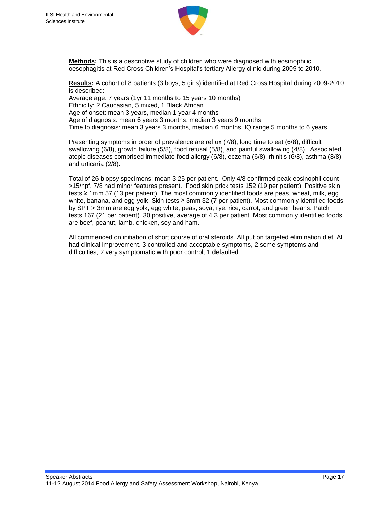

**Methods:** This is a descriptive study of children who were diagnosed with eosinophilic oesophagitis at Red Cross Children's Hospital's tertiary Allergy clinic during 2009 to 2010.

**Results:** A cohort of 8 patients (3 boys, 5 girls) identified at Red Cross Hospital during 2009-2010 is described: Average age: 7 years (1yr 11 months to 15 years 10 months) Ethnicity: 2 Caucasian, 5 mixed, 1 Black African Age of onset: mean 3 years, median 1 year 4 months Age of diagnosis: mean 6 years 3 months; median 3 years 9 months Time to diagnosis: mean 3 years 3 months, median 6 months, IQ range 5 months to 6 years.

Presenting symptoms in order of prevalence are reflux (7/8), long time to eat (6/8), difficult swallowing (6/8), growth failure (5/8), food refusal (5/8), and painful swallowing (4/8). Associated atopic diseases comprised immediate food allergy (6/8), eczema (6/8), rhinitis (6/8), asthma (3/8) and urticaria (2/8).

Total of 26 biopsy specimens; mean 3.25 per patient. Only 4/8 confirmed peak eosinophil count >15/hpf, 7/8 had minor features present. Food skin prick tests 152 (19 per patient). Positive skin tests ≥ 1mm 57 (13 per patient). The most commonly identified foods are peas, wheat, milk, egg white, banana, and egg yolk. Skin tests ≥ 3mm 32 (7 per patient). Most commonly identified foods by SPT > 3mm are egg yolk, egg white, peas, soya, rye, rice, carrot, and green beans. Patch tests 167 (21 per patient). 30 positive, average of 4.3 per patient. Most commonly identified foods are beef, peanut, lamb, chicken, soy and ham.

All commenced on initiation of short course of oral steroids. All put on targeted elimination diet. All had clinical improvement. 3 controlled and acceptable symptoms, 2 some symptoms and difficulties, 2 very symptomatic with poor control, 1 defaulted.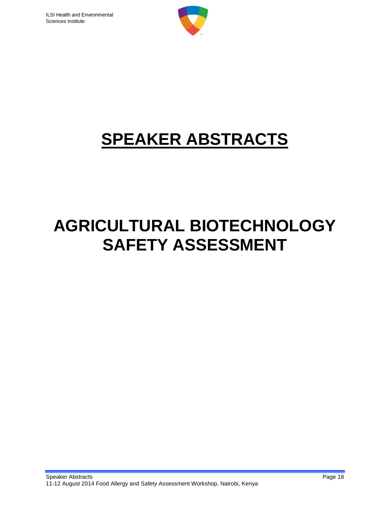

# **SPEAKER ABSTRACTS**

# **AGRICULTURAL BIOTECHNOLOGY SAFETY ASSESSMENT**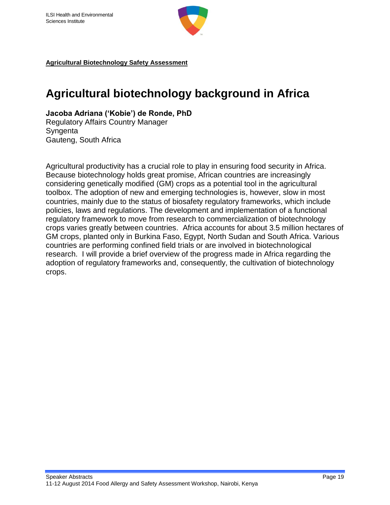

### **Agricultural biotechnology background in Africa**

**Jacoba Adriana ('Kobie') de Ronde, PhD**

Regulatory Affairs Country Manager **Syngenta** Gauteng, South Africa

Agricultural productivity has a crucial role to play in ensuring food security in Africa. Because biotechnology holds great promise, African countries are increasingly considering genetically modified (GM) crops as a potential tool in the agricultural toolbox. The adoption of new and emerging technologies is, however, slow in most countries, mainly due to the status of biosafety regulatory frameworks, which include policies, laws and regulations. The development and implementation of a functional regulatory framework to move from research to commercialization of biotechnology crops varies greatly between countries. Africa accounts for about 3.5 million hectares of GM crops, planted only in Burkina Faso, Egypt, North Sudan and South Africa. Various countries are performing confined field trials or are involved in biotechnological research. I will provide a brief overview of the progress made in Africa regarding the adoption of regulatory frameworks and, consequently, the cultivation of biotechnology crops.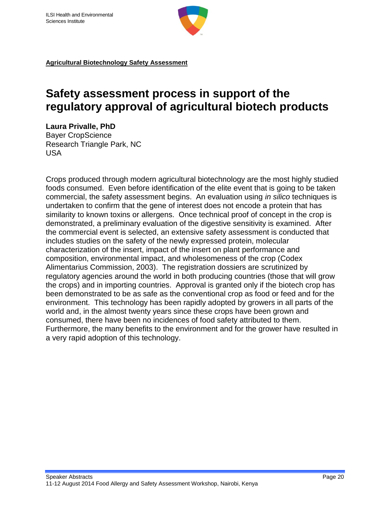

### **Safety assessment process in support of the regulatory approval of agricultural biotech products**

**Laura Privalle, PhD** Bayer CropScience Research Triangle Park, NC USA

Crops produced through modern agricultural biotechnology are the most highly studied foods consumed. Even before identification of the elite event that is going to be taken commercial, the safety assessment begins. An evaluation using *in silico* techniques is undertaken to confirm that the gene of interest does not encode a protein that has similarity to known toxins or allergens. Once technical proof of concept in the crop is demonstrated, a preliminary evaluation of the digestive sensitivity is examined. After the commercial event is selected, an extensive safety assessment is conducted that includes studies on the safety of the newly expressed protein, molecular characterization of the insert, impact of the insert on plant performance and composition, environmental impact, and wholesomeness of the crop (Codex Alimentarius Commission, 2003). The registration dossiers are scrutinized by regulatory agencies around the world in both producing countries (those that will grow the crops) and in importing countries. Approval is granted only if the biotech crop has been demonstrated to be as safe as the conventional crop as food or feed and for the environment. This technology has been rapidly adopted by growers in all parts of the world and, in the almost twenty years since these crops have been grown and consumed, there have been no incidences of food safety attributed to them. Furthermore, the many benefits to the environment and for the grower have resulted in a very rapid adoption of this technology.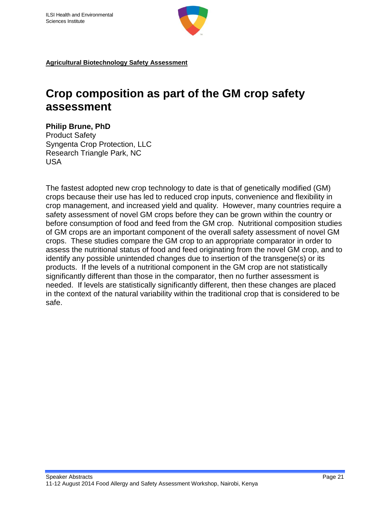

### **Crop composition as part of the GM crop safety assessment**

#### **Philip Brune, PhD**

Product Safety Syngenta Crop Protection, LLC Research Triangle Park, NC USA

The fastest adopted new crop technology to date is that of genetically modified (GM) crops because their use has led to reduced crop inputs, convenience and flexibility in crop management, and increased yield and quality. However, many countries require a safety assessment of novel GM crops before they can be grown within the country or before consumption of food and feed from the GM crop. Nutritional composition studies of GM crops are an important component of the overall safety assessment of novel GM crops. These studies compare the GM crop to an appropriate comparator in order to assess the nutritional status of food and feed originating from the novel GM crop, and to identify any possible unintended changes due to insertion of the transgene(s) or its products. If the levels of a nutritional component in the GM crop are not statistically significantly different than those in the comparator, then no further assessment is needed. If levels are statistically significantly different, then these changes are placed in the context of the natural variability within the traditional crop that is considered to be safe.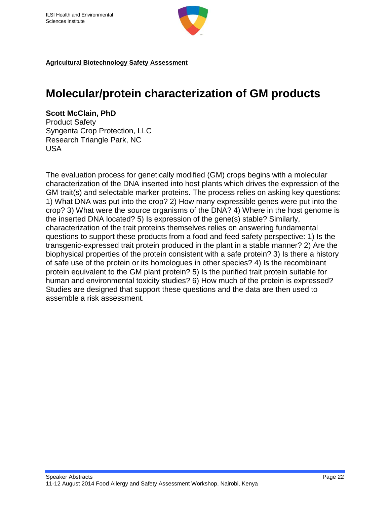

### **Molecular/protein characterization of GM products**

#### **Scott McClain, PhD**

Product Safety Syngenta Crop Protection, LLC Research Triangle Park, NC USA

The evaluation process for genetically modified (GM) crops begins with a molecular characterization of the DNA inserted into host plants which drives the expression of the GM trait(s) and selectable marker proteins. The process relies on asking key questions: 1) What DNA was put into the crop? 2) How many expressible genes were put into the crop? 3) What were the source organisms of the DNA? 4) Where in the host genome is the inserted DNA located? 5) Is expression of the gene(s) stable? Similarly, characterization of the trait proteins themselves relies on answering fundamental questions to support these products from a food and feed safety perspective: 1) Is the transgenic-expressed trait protein produced in the plant in a stable manner? 2) Are the biophysical properties of the protein consistent with a safe protein? 3) Is there a history of safe use of the protein or its homologues in other species? 4) Is the recombinant protein equivalent to the GM plant protein? 5) Is the purified trait protein suitable for human and environmental toxicity studies? 6) How much of the protein is expressed? Studies are designed that support these questions and the data are then used to assemble a risk assessment.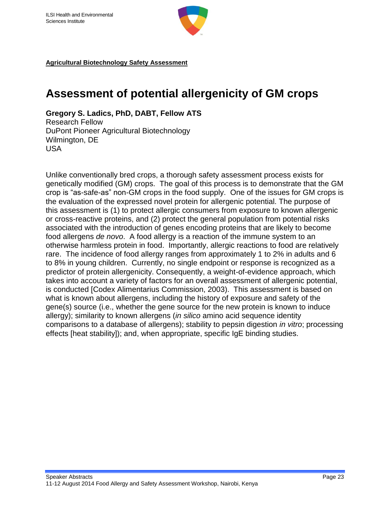

### **Assessment of potential allergenicity of GM crops**

**Gregory S. Ladics, PhD, DABT, Fellow ATS** Research Fellow DuPont Pioneer Agricultural Biotechnology Wilmington, DE USA

Unlike conventionally bred crops, a thorough safety assessment process exists for genetically modified (GM) crops. The goal of this process is to demonstrate that the GM crop is "as-safe-as" non-GM crops in the food supply. One of the issues for GM crops is the evaluation of the expressed novel protein for allergenic potential. The purpose of this assessment is (1) to protect allergic consumers from exposure to known allergenic or cross-reactive proteins, and (2) protect the general population from potential risks associated with the introduction of genes encoding proteins that are likely to become food allergens *de novo*. A food allergy is a reaction of the immune system to an otherwise harmless protein in food. Importantly, allergic reactions to food are relatively rare. The incidence of food allergy ranges from approximately 1 to 2% in adults and 6 to 8% in young children. Currently, no single endpoint or response is recognized as a predictor of protein allergenicity. Consequently, a weight-of-evidence approach, which takes into account a variety of factors for an overall assessment of allergenic potential, is conducted [Codex Alimentarius Commission, 2003). This assessment is based on what is known about allergens, including the history of exposure and safety of the gene(s) source (i.e., whether the gene source for the new protein is known to induce allergy); similarity to known allergens (*in silico* amino acid sequence identity comparisons to a database of allergens); stability to pepsin digestion *in vitro*; processing effects [heat stability]); and, when appropriate, specific IgE binding studies.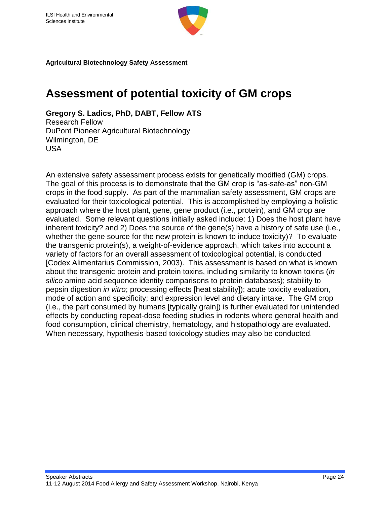

### **Assessment of potential toxicity of GM crops**

**Gregory S. Ladics, PhD, DABT, Fellow ATS** Research Fellow DuPont Pioneer Agricultural Biotechnology Wilmington, DE USA

An extensive safety assessment process exists for genetically modified (GM) crops. The goal of this process is to demonstrate that the GM crop is "as-safe-as" non-GM crops in the food supply. As part of the mammalian safety assessment, GM crops are evaluated for their toxicological potential. This is accomplished by employing a holistic approach where the host plant, gene, gene product (i.e., protein), and GM crop are evaluated. Some relevant questions initially asked include: 1) Does the host plant have inherent toxicity? and 2) Does the source of the gene(s) have a history of safe use (i.e., whether the gene source for the new protein is known to induce toxicity)? To evaluate the transgenic protein(s), a weight-of-evidence approach, which takes into account a variety of factors for an overall assessment of toxicological potential, is conducted [Codex Alimentarius Commission, 2003). This assessment is based on what is known about the transgenic protein and protein toxins, including similarity to known toxins (*in silico* amino acid sequence identity comparisons to protein databases); stability to pepsin digestion *in vitro*; processing effects [heat stability]); acute toxicity evaluation, mode of action and specificity; and expression level and dietary intake. The GM crop (i.e., the part consumed by humans [typically grain]) is further evaluated for unintended effects by conducting repeat-dose feeding studies in rodents where general health and food consumption, clinical chemistry, hematology, and histopathology are evaluated. When necessary, hypothesis-based toxicology studies may also be conducted.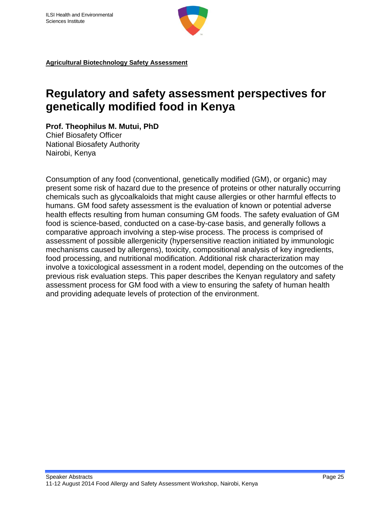

### **Regulatory and safety assessment perspectives for genetically modified food in Kenya**

**Prof. Theophilus M. Mutui, PhD**

Chief Biosafety Officer National Biosafety Authority Nairobi, Kenya

Consumption of any food (conventional, genetically modified (GM), or organic) may present some risk of hazard due to the presence of proteins or other naturally occurring chemicals such as glycoalkaloids that might cause allergies or other harmful effects to humans. GM food safety assessment is the evaluation of known or potential adverse health effects resulting from human consuming GM foods. The safety evaluation of GM food is science-based, conducted on a case-by-case basis, and generally follows a comparative approach involving a step-wise process. The process is comprised of assessment of possible allergenicity (hypersensitive reaction initiated by immunologic mechanisms caused by allergens), toxicity, compositional analysis of key ingredients, food processing, and nutritional modification. Additional risk characterization may involve a toxicological assessment in a rodent model, depending on the outcomes of the previous risk evaluation steps. This paper describes the Kenyan regulatory and safety assessment process for GM food with a view to ensuring the safety of human health and providing adequate levels of protection of the environment.